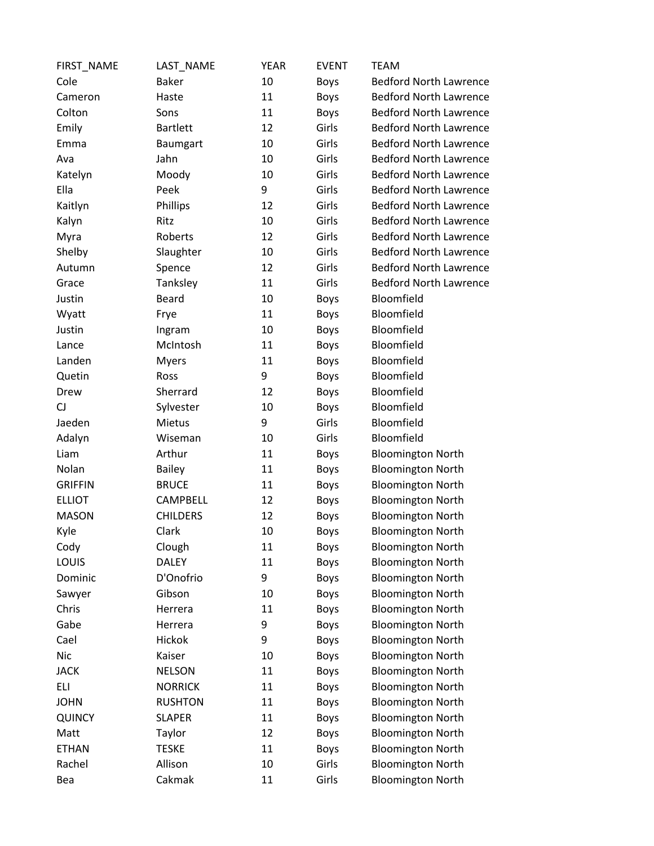| FIRST_NAME     | LAST_NAME       | <b>YEAR</b> | <b>EVENT</b> | <b>TEAM</b>                   |
|----------------|-----------------|-------------|--------------|-------------------------------|
| Cole           | <b>Baker</b>    | 10          | <b>Boys</b>  | <b>Bedford North Lawrence</b> |
| Cameron        | Haste           | 11          | Boys         | <b>Bedford North Lawrence</b> |
| Colton         | Sons            | 11          | <b>Boys</b>  | <b>Bedford North Lawrence</b> |
| Emily          | <b>Bartlett</b> | 12          | Girls        | <b>Bedford North Lawrence</b> |
| Emma           | <b>Baumgart</b> | 10          | Girls        | <b>Bedford North Lawrence</b> |
| Ava            | Jahn            | 10          | Girls        | <b>Bedford North Lawrence</b> |
| Katelyn        | Moody           | 10          | Girls        | <b>Bedford North Lawrence</b> |
| Ella           | Peek            | 9           | Girls        | <b>Bedford North Lawrence</b> |
| Kaitlyn        | Phillips        | 12          | Girls        | <b>Bedford North Lawrence</b> |
| Kalyn          | Ritz            | 10          | Girls        | <b>Bedford North Lawrence</b> |
| Myra           | Roberts         | 12          | Girls        | <b>Bedford North Lawrence</b> |
| Shelby         | Slaughter       | 10          | Girls        | <b>Bedford North Lawrence</b> |
| Autumn         | Spence          | 12          | Girls        | <b>Bedford North Lawrence</b> |
| Grace          | Tanksley        | 11          | Girls        | <b>Bedford North Lawrence</b> |
| Justin         | <b>Beard</b>    | 10          | Boys         | Bloomfield                    |
| Wyatt          | Frye            | 11          | Boys         | Bloomfield                    |
| Justin         | Ingram          | 10          | <b>Boys</b>  | Bloomfield                    |
| Lance          | McIntosh        | 11          | Boys         | Bloomfield                    |
| Landen         | <b>Myers</b>    | 11          | Boys         | Bloomfield                    |
| Quetin         | Ross            | 9           | <b>Boys</b>  | Bloomfield                    |
| Drew           | Sherrard        | 12          | Boys         | Bloomfield                    |
| CJ             | Sylvester       | 10          | <b>Boys</b>  | Bloomfield                    |
| Jaeden         | Mietus          | 9           | Girls        | Bloomfield                    |
| Adalyn         | Wiseman         | 10          | Girls        | Bloomfield                    |
| Liam           | Arthur          | 11          | Boys         | <b>Bloomington North</b>      |
| Nolan          | <b>Bailey</b>   | 11          | <b>Boys</b>  | <b>Bloomington North</b>      |
| <b>GRIFFIN</b> | <b>BRUCE</b>    | 11          | Boys         | <b>Bloomington North</b>      |
| <b>ELLIOT</b>  | CAMPBELL        | 12          | Boys         | <b>Bloomington North</b>      |
| <b>MASON</b>   | <b>CHILDERS</b> | 12          | <b>Boys</b>  | <b>Bloomington North</b>      |
| Kyle           | Clark           | 10          | <b>Boys</b>  | <b>Bloomington North</b>      |
| Cody           | Clough          | 11          | Boys         | <b>Bloomington North</b>      |
| LOUIS          | <b>DALEY</b>    | 11          | Boys         | <b>Bloomington North</b>      |
| Dominic        | D'Onofrio       | 9           | Boys         | <b>Bloomington North</b>      |
| Sawyer         | Gibson          | 10          | Boys         | <b>Bloomington North</b>      |
| Chris          | Herrera         | 11          | Boys         | <b>Bloomington North</b>      |
| Gabe           | Herrera         | 9           | <b>Boys</b>  | <b>Bloomington North</b>      |
| Cael           | Hickok          | 9           | Boys         | <b>Bloomington North</b>      |
| <b>Nic</b>     | Kaiser          | 10          | Boys         | <b>Bloomington North</b>      |
| <b>JACK</b>    | <b>NELSON</b>   | 11          | <b>Boys</b>  | <b>Bloomington North</b>      |
| ELI            | <b>NORRICK</b>  | 11          | Boys         | <b>Bloomington North</b>      |
| <b>JOHN</b>    | <b>RUSHTON</b>  | 11          | <b>Boys</b>  | <b>Bloomington North</b>      |
| QUINCY         | <b>SLAPER</b>   | 11          | <b>Boys</b>  | <b>Bloomington North</b>      |
| Matt           | Taylor          | 12          | <b>Boys</b>  | <b>Bloomington North</b>      |
| <b>ETHAN</b>   | <b>TESKE</b>    | 11          | Boys         | <b>Bloomington North</b>      |
| Rachel         | Allison         | 10          | Girls        | <b>Bloomington North</b>      |
| Bea            | Cakmak          | 11          | Girls        | <b>Bloomington North</b>      |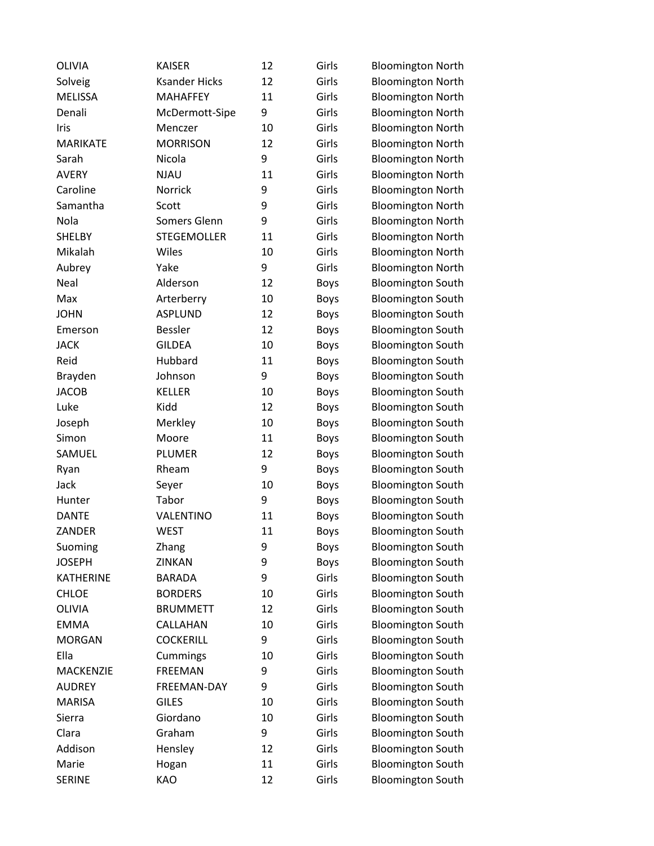| <b>OLIVIA</b>    | <b>KAISER</b>        | 12 | Girls       | <b>Bloomington North</b> |
|------------------|----------------------|----|-------------|--------------------------|
| Solveig          | <b>Ksander Hicks</b> | 12 | Girls       | <b>Bloomington North</b> |
| <b>MELISSA</b>   | <b>MAHAFFEY</b>      | 11 | Girls       | <b>Bloomington North</b> |
| Denali           | McDermott-Sipe       | 9  | Girls       | <b>Bloomington North</b> |
| Iris             | Menczer              | 10 | Girls       | <b>Bloomington North</b> |
| <b>MARIKATE</b>  | <b>MORRISON</b>      | 12 | Girls       | <b>Bloomington North</b> |
| Sarah            | Nicola               | 9  | Girls       | <b>Bloomington North</b> |
| <b>AVERY</b>     | <b>NJAU</b>          | 11 | Girls       | <b>Bloomington North</b> |
| Caroline         | Norrick              | 9  | Girls       | <b>Bloomington North</b> |
| Samantha         | Scott                | 9  | Girls       | <b>Bloomington North</b> |
| Nola             | Somers Glenn         | 9  | Girls       | <b>Bloomington North</b> |
| <b>SHELBY</b>    | <b>STEGEMOLLER</b>   | 11 | Girls       | <b>Bloomington North</b> |
| Mikalah          | Wiles                | 10 | Girls       | <b>Bloomington North</b> |
| Aubrey           | Yake                 | 9  | Girls       | <b>Bloomington North</b> |
| Neal             | Alderson             | 12 | Boys        | <b>Bloomington South</b> |
| Max              | Arterberry           | 10 | Boys        | <b>Bloomington South</b> |
| <b>JOHN</b>      | <b>ASPLUND</b>       | 12 | Boys        | <b>Bloomington South</b> |
| Emerson          | <b>Bessler</b>       | 12 | <b>Boys</b> | <b>Bloomington South</b> |
| <b>JACK</b>      | <b>GILDEA</b>        | 10 | Boys        | <b>Bloomington South</b> |
| Reid             | Hubbard              | 11 | Boys        | <b>Bloomington South</b> |
| Brayden          | Johnson              | 9  | <b>Boys</b> | <b>Bloomington South</b> |
| <b>JACOB</b>     | <b>KELLER</b>        | 10 | Boys        | <b>Bloomington South</b> |
| Luke             | Kidd                 | 12 | Boys        | <b>Bloomington South</b> |
| Joseph           | Merkley              | 10 | Boys        | <b>Bloomington South</b> |
| Simon            | Moore                | 11 | Boys        | <b>Bloomington South</b> |
| SAMUEL           | PLUMER               | 12 | Boys        | <b>Bloomington South</b> |
| Ryan             | Rheam                | 9  | Boys        | <b>Bloomington South</b> |
| Jack             | Seyer                | 10 | Boys        | <b>Bloomington South</b> |
| Hunter           | Tabor                | 9  | Boys        | <b>Bloomington South</b> |
| <b>DANTE</b>     | VALENTINO            | 11 | Boys        | <b>Bloomington South</b> |
| ZANDER           | <b>WEST</b>          | 11 | <b>Boys</b> | <b>Bloomington South</b> |
| Suoming          | Zhang                | 9  | <b>Boys</b> | <b>Bloomington South</b> |
| <b>JOSEPH</b>    | ZINKAN               | 9  | <b>Boys</b> | <b>Bloomington South</b> |
| <b>KATHERINE</b> | <b>BARADA</b>        | 9  | Girls       | <b>Bloomington South</b> |
| <b>CHLOE</b>     | <b>BORDERS</b>       | 10 | Girls       | <b>Bloomington South</b> |
| <b>OLIVIA</b>    | <b>BRUMMETT</b>      | 12 | Girls       | <b>Bloomington South</b> |
| <b>EMMA</b>      | CALLAHAN             | 10 | Girls       | <b>Bloomington South</b> |
| <b>MORGAN</b>    | <b>COCKERILL</b>     | 9  | Girls       | <b>Bloomington South</b> |
| Ella             | Cummings             | 10 | Girls       | <b>Bloomington South</b> |
| MACKENZIE        | <b>FREEMAN</b>       | 9  | Girls       | <b>Bloomington South</b> |
| <b>AUDREY</b>    | FREEMAN-DAY          | 9  | Girls       | <b>Bloomington South</b> |
| <b>MARISA</b>    | <b>GILES</b>         | 10 | Girls       | <b>Bloomington South</b> |
| Sierra           | Giordano             | 10 | Girls       | <b>Bloomington South</b> |
| Clara            | Graham               | 9  | Girls       | <b>Bloomington South</b> |
| Addison          | Hensley              | 12 | Girls       | <b>Bloomington South</b> |
| Marie            | Hogan                | 11 | Girls       | <b>Bloomington South</b> |
| <b>SERINE</b>    | KAO                  | 12 | Girls       | <b>Bloomington South</b> |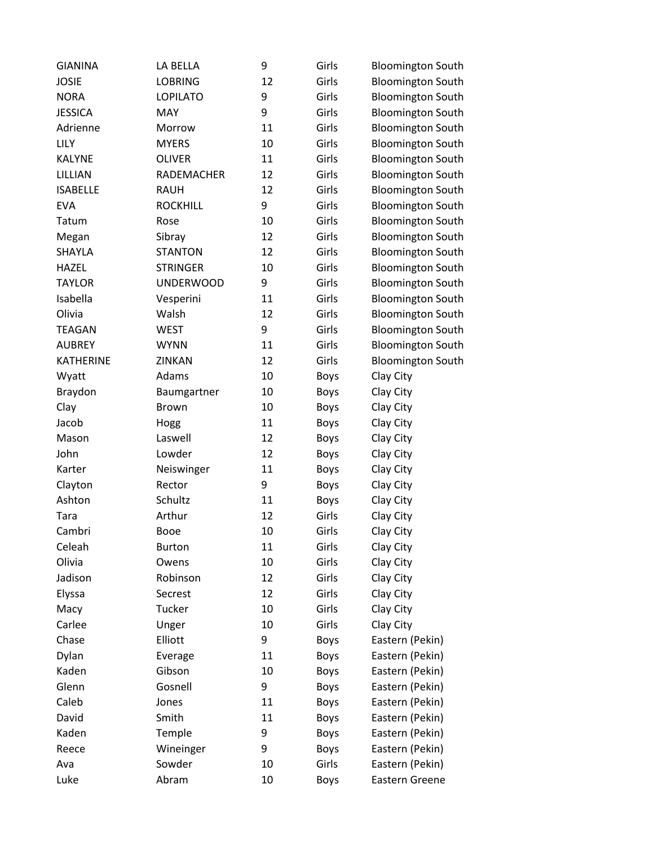| <b>GIANINA</b>   | LA BELLA          | 9  | Girls       | <b>Bloomington South</b> |
|------------------|-------------------|----|-------------|--------------------------|
| <b>JOSIE</b>     | <b>LOBRING</b>    | 12 | Girls       | <b>Bloomington South</b> |
| <b>NORA</b>      | <b>LOPILATO</b>   | 9  | Girls       | <b>Bloomington South</b> |
| <b>JESSICA</b>   | <b>MAY</b>        | 9  | Girls       | <b>Bloomington South</b> |
| Adrienne         | Morrow            | 11 | Girls       | <b>Bloomington South</b> |
| <b>LILY</b>      | <b>MYERS</b>      | 10 | Girls       | <b>Bloomington South</b> |
| <b>KALYNE</b>    | <b>OLIVER</b>     | 11 | Girls       | <b>Bloomington South</b> |
| LILLIAN          | <b>RADEMACHER</b> | 12 | Girls       | <b>Bloomington South</b> |
| <b>ISABELLE</b>  | <b>RAUH</b>       | 12 | Girls       | <b>Bloomington South</b> |
| <b>EVA</b>       | <b>ROCKHILL</b>   | 9  | Girls       | <b>Bloomington South</b> |
| Tatum            | Rose              | 10 | Girls       | <b>Bloomington South</b> |
| Megan            | Sibray            | 12 | Girls       | <b>Bloomington South</b> |
| SHAYLA           | <b>STANTON</b>    | 12 | Girls       | <b>Bloomington South</b> |
| <b>HAZEL</b>     | <b>STRINGER</b>   | 10 | Girls       | <b>Bloomington South</b> |
| <b>TAYLOR</b>    | <b>UNDERWOOD</b>  | 9  | Girls       | <b>Bloomington South</b> |
| Isabella         | Vesperini         | 11 | Girls       | <b>Bloomington South</b> |
| Olivia           | Walsh             | 12 | Girls       | <b>Bloomington South</b> |
| <b>TEAGAN</b>    | <b>WEST</b>       | 9  | Girls       | <b>Bloomington South</b> |
| <b>AUBREY</b>    | <b>WYNN</b>       | 11 | Girls       | <b>Bloomington South</b> |
| <b>KATHERINE</b> | ZINKAN            | 12 | Girls       | <b>Bloomington South</b> |
| Wyatt            | Adams             | 10 | Boys        | Clay City                |
| Braydon          | Baumgartner       | 10 | Boys        | Clay City                |
| Clay             | <b>Brown</b>      | 10 | Boys        | Clay City                |
| Jacob            | Hogg              | 11 | Boys        | Clay City                |
| Mason            | Laswell           | 12 | Boys        | Clay City                |
| John             | Lowder            | 12 | Boys        | Clay City                |
| Karter           | Neiswinger        | 11 | Boys        | Clay City                |
| Clayton          | Rector            | 9  | Boys        | Clay City                |
| Ashton           | Schultz           | 11 | <b>Boys</b> | Clay City                |
| Tara             | Arthur            | 12 | Girls       | Clay City                |
| Cambri           | <b>Booe</b>       | 10 | Girls       | Clay City                |
| Celeah           | <b>Burton</b>     | 11 | Girls       | Clay City                |
| Olivia           | Owens             | 10 | Girls       | Clay City                |
| Jadison          | Robinson          | 12 | Girls       | Clay City                |
| Elyssa           | Secrest           | 12 | Girls       | Clay City                |
| Macy             | Tucker            | 10 | Girls       | Clay City                |
| Carlee           | Unger             | 10 | Girls       | Clay City                |
| Chase            | Elliott           | 9  | Boys        | Eastern (Pekin)          |
| Dylan            | Everage           | 11 | Boys        | Eastern (Pekin)          |
| Kaden            | Gibson            | 10 | Boys        | Eastern (Pekin)          |
| Glenn            | Gosnell           | 9  | Boys        | Eastern (Pekin)          |
| Caleb            | Jones             | 11 | Boys        | Eastern (Pekin)          |
| David            | Smith             | 11 | Boys        | Eastern (Pekin)          |
| Kaden            | Temple            | 9  | Boys        | Eastern (Pekin)          |
| Reece            | Wineinger         | 9  | Boys        | Eastern (Pekin)          |
| Ava              | Sowder            | 10 | Girls       | Eastern (Pekin)          |
| Luke             | Abram             | 10 | Boys        | Eastern Greene           |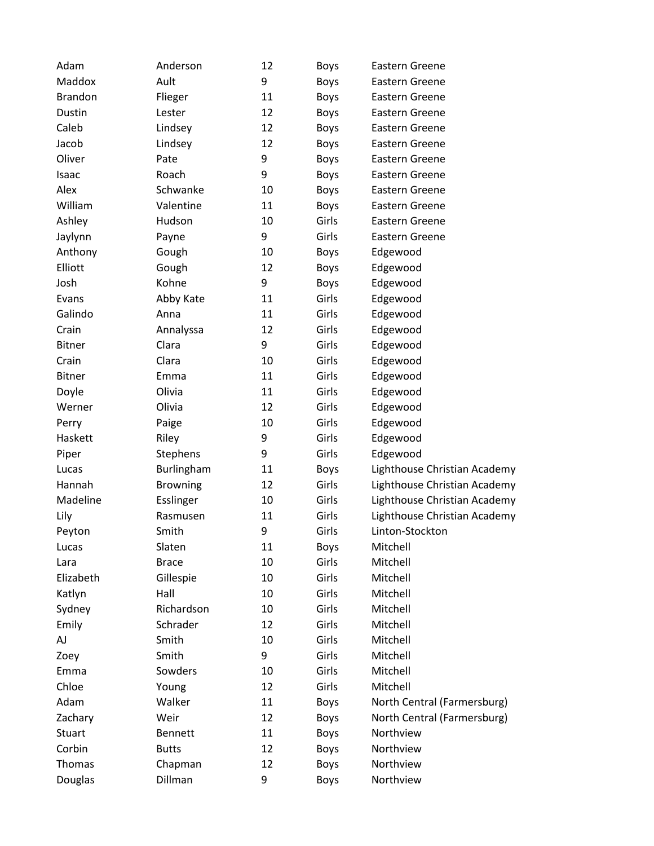| Adam           | Anderson        | 12 | <b>Boys</b> | Eastern Greene               |
|----------------|-----------------|----|-------------|------------------------------|
| Maddox         | Ault            | 9  | <b>Boys</b> | Eastern Greene               |
| <b>Brandon</b> | Flieger         | 11 | <b>Boys</b> | Eastern Greene               |
| Dustin         | Lester          | 12 | Boys        | Eastern Greene               |
| Caleb          | Lindsey         | 12 | <b>Boys</b> | Eastern Greene               |
| Jacob          | Lindsey         | 12 | <b>Boys</b> | Eastern Greene               |
| Oliver         | Pate            | 9  | <b>Boys</b> | Eastern Greene               |
| Isaac          | Roach           | 9  | <b>Boys</b> | Eastern Greene               |
| Alex           | Schwanke        | 10 | Boys        | Eastern Greene               |
| William        | Valentine       | 11 | <b>Boys</b> | Eastern Greene               |
| Ashley         | Hudson          | 10 | Girls       | Eastern Greene               |
| Jaylynn        | Payne           | 9  | Girls       | Eastern Greene               |
| Anthony        | Gough           | 10 | <b>Boys</b> | Edgewood                     |
| Elliott        | Gough           | 12 | Boys        | Edgewood                     |
| Josh           | Kohne           | 9  | <b>Boys</b> | Edgewood                     |
| Evans          | Abby Kate       | 11 | Girls       | Edgewood                     |
| Galindo        | Anna            | 11 | Girls       | Edgewood                     |
| Crain          | Annalyssa       | 12 | Girls       | Edgewood                     |
| <b>Bitner</b>  | Clara           | 9  | Girls       | Edgewood                     |
| Crain          | Clara           | 10 | Girls       | Edgewood                     |
| <b>Bitner</b>  | Emma            | 11 | Girls       | Edgewood                     |
| Doyle          | Olivia          | 11 | Girls       | Edgewood                     |
| Werner         | Olivia          | 12 | Girls       | Edgewood                     |
| Perry          | Paige           | 10 | Girls       | Edgewood                     |
| Haskett        | Riley           | 9  | Girls       | Edgewood                     |
| Piper          | Stephens        | 9  | Girls       | Edgewood                     |
| Lucas          | Burlingham      | 11 | <b>Boys</b> | Lighthouse Christian Academy |
| Hannah         | <b>Browning</b> | 12 | Girls       | Lighthouse Christian Academy |
| Madeline       | Esslinger       | 10 | Girls       | Lighthouse Christian Academy |
| Lily           | Rasmusen        | 11 | Girls       | Lighthouse Christian Academy |
| Peyton         | Smith           | 9  | Girls       | Linton-Stockton              |
| Lucas          | Slaten          | 11 | <b>Boys</b> | Mitchell                     |
| Lara           | <b>Brace</b>    | 10 | Girls       | Mitchell                     |
| Elizabeth      | Gillespie       | 10 | Girls       | Mitchell                     |
| Katlyn         | Hall            | 10 | Girls       | Mitchell                     |
| Sydney         | Richardson      | 10 | Girls       | Mitchell                     |
| Emily          | Schrader        | 12 | Girls       | Mitchell                     |
| AJ             | Smith           | 10 | Girls       | Mitchell                     |
| Zoey           | Smith           | 9  | Girls       | Mitchell                     |
| Emma           | Sowders         | 10 | Girls       | Mitchell                     |
| Chloe          | Young           | 12 | Girls       | Mitchell                     |
| Adam           | Walker          | 11 | <b>Boys</b> | North Central (Farmersburg)  |
| Zachary        | Weir            | 12 | <b>Boys</b> | North Central (Farmersburg)  |
| Stuart         | <b>Bennett</b>  | 11 | <b>Boys</b> | Northview                    |
| Corbin         | <b>Butts</b>    | 12 | Boys        | Northview                    |
| Thomas         | Chapman         | 12 | Boys        | Northview                    |
| Douglas        | Dillman         | 9  | <b>Boys</b> | Northview                    |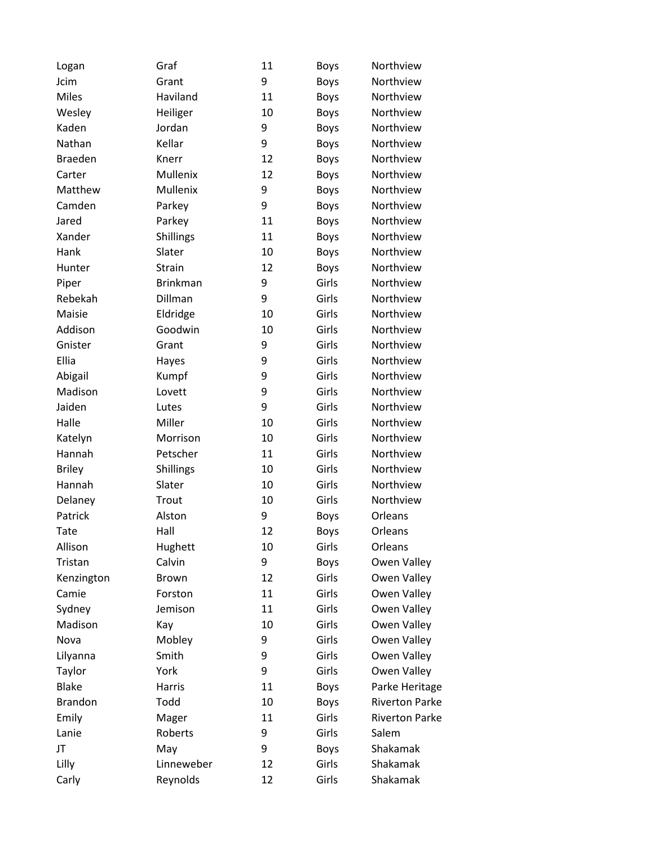| Logan          | Graf            | 11 | <b>Boys</b> | Northview             |
|----------------|-----------------|----|-------------|-----------------------|
| Jcim           | Grant           | 9  | <b>Boys</b> | Northview             |
| <b>Miles</b>   | Haviland        | 11 | <b>Boys</b> | Northview             |
| Wesley         | Heiliger        | 10 | <b>Boys</b> | Northview             |
| Kaden          | Jordan          | 9  | <b>Boys</b> | Northview             |
| Nathan         | Kellar          | 9  | <b>Boys</b> | Northview             |
| <b>Braeden</b> | Knerr           | 12 | <b>Boys</b> | Northview             |
| Carter         | Mullenix        | 12 | <b>Boys</b> | Northview             |
| Matthew        | Mullenix        | 9  | <b>Boys</b> | Northview             |
| Camden         | Parkey          | 9  | <b>Boys</b> | Northview             |
| Jared          | Parkey          | 11 | <b>Boys</b> | Northview             |
| Xander         | Shillings       | 11 | <b>Boys</b> | Northview             |
| Hank           | Slater          | 10 | <b>Boys</b> | Northview             |
| Hunter         | Strain          | 12 | <b>Boys</b> | Northview             |
| Piper          | <b>Brinkman</b> | 9  | Girls       | Northview             |
| Rebekah        | Dillman         | 9  | Girls       | Northview             |
| Maisie         | Eldridge        | 10 | Girls       | Northview             |
| Addison        | Goodwin         | 10 | Girls       | Northview             |
| Gnister        | Grant           | 9  | Girls       | Northview             |
| Ellia          | Hayes           | 9  | Girls       | Northview             |
| Abigail        | Kumpf           | 9  | Girls       | Northview             |
| Madison        | Lovett          | 9  | Girls       | Northview             |
| Jaiden         | Lutes           | 9  | Girls       | Northview             |
| Halle          | Miller          | 10 | Girls       | Northview             |
| Katelyn        | Morrison        | 10 | Girls       | Northview             |
| Hannah         | Petscher        | 11 | Girls       | Northview             |
| <b>Briley</b>  | Shillings       | 10 | Girls       | Northview             |
| Hannah         | Slater          | 10 | Girls       | Northview             |
| Delaney        | Trout           | 10 | Girls       | Northview             |
| Patrick        | Alston          | 9  | <b>Boys</b> | Orleans               |
| Tate           | Hall            | 12 | Boys        | Orleans               |
| Allison        | Hughett         | 10 | Girls       | Orleans               |
| Tristan        | Calvin          | 9  | <b>Boys</b> | Owen Valley           |
| Kenzington     | <b>Brown</b>    | 12 | Girls       | Owen Valley           |
| Camie          | Forston         | 11 | Girls       | Owen Valley           |
| Sydney         | Jemison         | 11 | Girls       | Owen Valley           |
| Madison        | Kay             | 10 | Girls       | Owen Valley           |
| Nova           | Mobley          | 9  | Girls       | Owen Valley           |
| Lilyanna       | Smith           | 9  | Girls       | Owen Valley           |
| Taylor         | York            | 9  | Girls       | Owen Valley           |
| <b>Blake</b>   | Harris          | 11 | Boys        | Parke Heritage        |
| <b>Brandon</b> | Todd            | 10 | Boys        | <b>Riverton Parke</b> |
| Emily          | Mager           | 11 | Girls       | <b>Riverton Parke</b> |
| Lanie          | Roberts         | 9  | Girls       | Salem                 |
| JT             | May             | 9  | Boys        | Shakamak              |
| Lilly          | Linneweber      | 12 | Girls       | Shakamak              |
| Carly          | Reynolds        | 12 | Girls       | Shakamak              |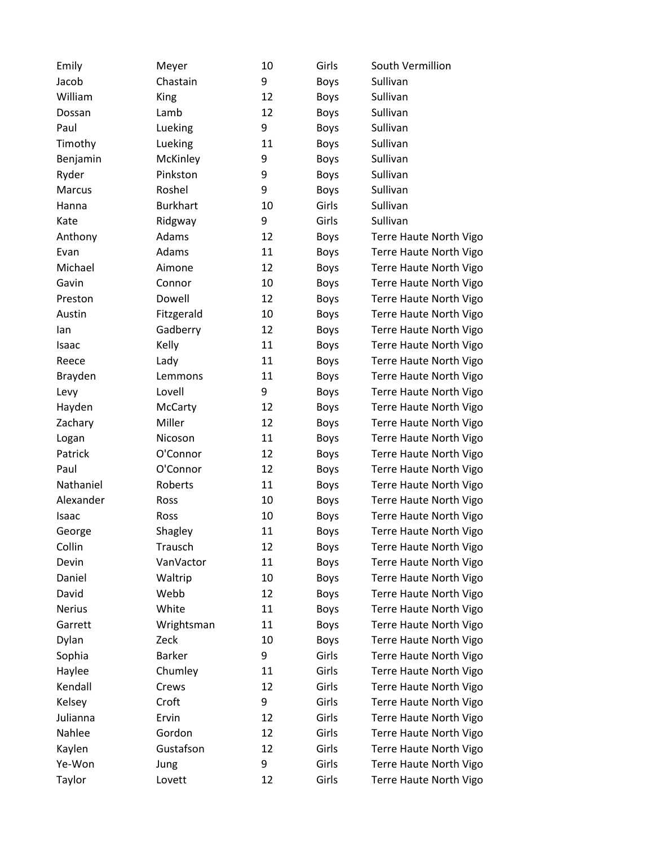| Emily          | Meyer           | 10 | Girls       | South Vermillion       |
|----------------|-----------------|----|-------------|------------------------|
| Jacob          | Chastain        | 9  | <b>Boys</b> | Sullivan               |
| William        | King            | 12 | Boys        | Sullivan               |
| Dossan         | Lamb            | 12 | Boys        | Sullivan               |
| Paul           | Lueking         | 9  | Boys        | Sullivan               |
| Timothy        | Lueking         | 11 | Boys        | Sullivan               |
| Benjamin       | McKinley        | 9  | <b>Boys</b> | Sullivan               |
| Ryder          | Pinkston        | 9  | <b>Boys</b> | Sullivan               |
| Marcus         | Roshel          | 9  | Boys        | Sullivan               |
| Hanna          | <b>Burkhart</b> | 10 | Girls       | Sullivan               |
| Kate           | Ridgway         | 9  | Girls       | Sullivan               |
| Anthony        | Adams           | 12 | Boys        | Terre Haute North Vigo |
| Evan           | Adams           | 11 | Boys        | Terre Haute North Vigo |
| Michael        | Aimone          | 12 | Boys        | Terre Haute North Vigo |
| Gavin          | Connor          | 10 | <b>Boys</b> | Terre Haute North Vigo |
| Preston        | Dowell          | 12 | Boys        | Terre Haute North Vigo |
| Austin         | Fitzgerald      | 10 | Boys        | Terre Haute North Vigo |
| lan            | Gadberry        | 12 | <b>Boys</b> | Terre Haute North Vigo |
| Isaac          | Kelly           | 11 | Boys        | Terre Haute North Vigo |
| Reece          | Lady            | 11 | Boys        | Terre Haute North Vigo |
| <b>Brayden</b> | Lemmons         | 11 | Boys        | Terre Haute North Vigo |
| Levy           | Lovell          | 9  | Boys        | Terre Haute North Vigo |
| Hayden         | McCarty         | 12 | Boys        | Terre Haute North Vigo |
| Zachary        | Miller          | 12 | Boys        | Terre Haute North Vigo |
| Logan          | Nicoson         | 11 | Boys        | Terre Haute North Vigo |
| Patrick        | O'Connor        | 12 | Boys        | Terre Haute North Vigo |
| Paul           | O'Connor        | 12 | Boys        | Terre Haute North Vigo |
| Nathaniel      | Roberts         | 11 | Boys        | Terre Haute North Vigo |
| Alexander      | Ross            | 10 | Boys        | Terre Haute North Vigo |
| Isaac          | Ross            | 10 | Boys        | Terre Haute North Vigo |
| George         | Shagley         | 11 | <b>Boys</b> | Terre Haute North Vigo |
| Collin         | Trausch         | 12 | <b>Boys</b> | Terre Haute North Vigo |
| Devin          | VanVactor       | 11 | <b>Boys</b> | Terre Haute North Vigo |
| Daniel         | Waltrip         | 10 | Boys        | Terre Haute North Vigo |
| David          | Webb            | 12 | Boys        | Terre Haute North Vigo |
| <b>Nerius</b>  | White           | 11 | Boys        | Terre Haute North Vigo |
| Garrett        | Wrightsman      | 11 | <b>Boys</b> | Terre Haute North Vigo |
| Dylan          | Zeck            | 10 | Boys        | Terre Haute North Vigo |
| Sophia         | <b>Barker</b>   | 9  | Girls       | Terre Haute North Vigo |
| Haylee         | Chumley         | 11 | Girls       | Terre Haute North Vigo |
| Kendall        | Crews           | 12 | Girls       | Terre Haute North Vigo |
| Kelsey         | Croft           | 9  | Girls       | Terre Haute North Vigo |
| Julianna       | Ervin           | 12 | Girls       | Terre Haute North Vigo |
| Nahlee         | Gordon          | 12 | Girls       | Terre Haute North Vigo |
| Kaylen         | Gustafson       | 12 | Girls       | Terre Haute North Vigo |
| Ye-Won         | Jung            | 9  | Girls       | Terre Haute North Vigo |
| Taylor         | Lovett          | 12 | Girls       | Terre Haute North Vigo |